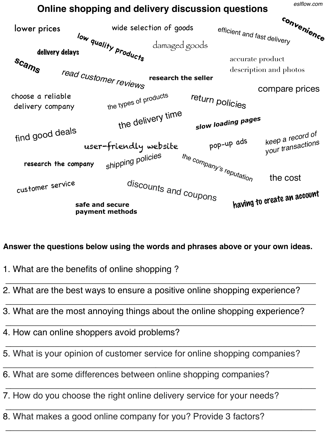*eslflow.com*

## **Online shopping and delivery discussion questions**



## **Answer the questions below using the words and phrases above or your own ideas.**

\_\_\_\_\_\_\_\_\_\_\_\_\_\_\_\_\_\_\_\_\_\_\_\_\_\_\_\_\_\_\_\_\_\_\_\_\_\_\_\_\_\_\_\_\_\_\_\_\_\_\_\_\_\_\_\_\_\_\_\_\_\_\_

\_\_\_\_\_\_\_\_\_\_\_\_\_\_\_\_\_\_\_\_\_\_\_\_\_\_\_\_\_\_\_\_\_\_\_\_\_\_\_\_\_\_\_\_\_\_\_\_\_\_\_\_\_\_\_\_\_\_\_\_\_\_\_

\_\_\_\_\_\_\_\_\_\_\_\_\_\_\_\_\_\_\_\_\_\_\_\_\_\_\_\_\_\_\_\_\_\_\_\_\_\_\_\_\_\_\_\_\_\_\_\_\_\_\_\_\_\_\_\_\_\_\_\_\_\_\_

\_\_\_\_\_\_\_\_\_\_\_\_\_\_\_\_\_\_\_\_\_\_\_\_\_\_\_\_\_\_\_\_\_\_\_\_\_\_\_\_\_\_\_\_\_\_\_\_\_\_\_\_\_\_\_\_\_\_\_\_\_\_\_

\_\_\_\_\_\_\_\_\_\_\_\_\_\_\_\_\_\_\_\_\_\_\_\_\_\_\_\_\_\_\_\_\_\_\_\_\_\_\_\_\_\_\_\_\_\_\_\_\_\_\_\_\_\_\_\_\_\_\_\_\_\_\_

\_\_\_\_\_\_\_\_\_\_\_\_\_\_\_\_\_\_\_\_\_\_\_\_\_\_\_\_\_\_\_\_\_\_\_\_\_\_\_\_\_\_\_\_\_\_\_\_\_\_\_\_\_\_\_\_\_\_\_\_\_\_\_

\_\_\_\_\_\_\_\_\_\_\_\_\_\_\_\_\_\_\_\_\_\_\_\_\_\_\_\_\_\_\_\_\_\_\_\_\_\_\_\_\_\_\_\_\_\_\_\_\_\_\_\_\_\_\_\_\_\_\_\_\_\_\_

\_\_\_\_\_\_\_\_\_\_\_\_\_\_\_\_\_\_\_\_\_\_\_\_\_\_\_\_\_\_\_\_\_\_\_\_\_\_\_\_\_\_\_\_\_\_\_\_\_\_\_\_\_\_\_\_\_\_\_\_\_\_\_

- 1. What are the benefits of online shopping ?
- 2. What are the best ways to ensure a positive online shopping experience?
- 3. What are the most annoying things about the online shopping experience?
- 4. How can online shoppers avoid problems?
- 5. What is your opinion of customer service for online shopping companies?
- 6. What are some differences between online shopping companies?
- 7. How do you choose the right online delivery service for your needs?
- 8. What makes a good online company for you? Provide 3 factors?